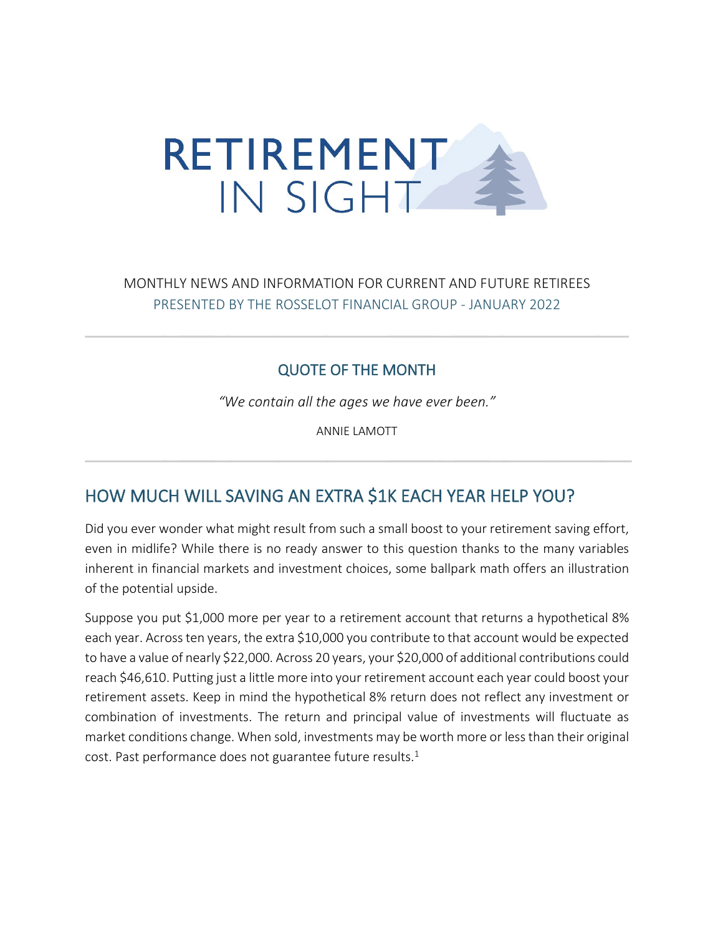

## MONTHLY NEWS AND INFORMATION FOR CURRENT AND FUTURE RETIREES PRESENTED BY THE ROSSELOT FINANCIAL GROUP - JANUARY 2022

### QUOTE OF THE MONTH

*"We contain all the ages we have ever been."*

ANNIE LAMOTT

## HOW MUCH WILL SAVING AN EXTRA \$1K EACH YEAR HELP YOU?

Did you ever wonder what might result from such a small boost to your retirement saving effort, even in midlife? While there is no ready answer to this question thanks to the many variables inherent in financial markets and investment choices, some ballpark math offers an illustration of the potential upside.

Suppose you put \$1,000 more per year to a retirement account that returns a hypothetical 8% each year. Across ten years, the extra \$10,000 you contribute to that account would be expected to have a value of nearly \$22,000. Across 20 years, your \$20,000 of additional contributions could reach \$46,610. Putting just a little more into your retirement account each year could boost your retirement assets. Keep in mind the hypothetical 8% return does not reflect any investment or combination of investments. The return and principal value of investments will fluctuate as market conditions change. When sold, investments may be worth more or less than their original cost. Past performance does not guarantee future results.<sup>1</sup>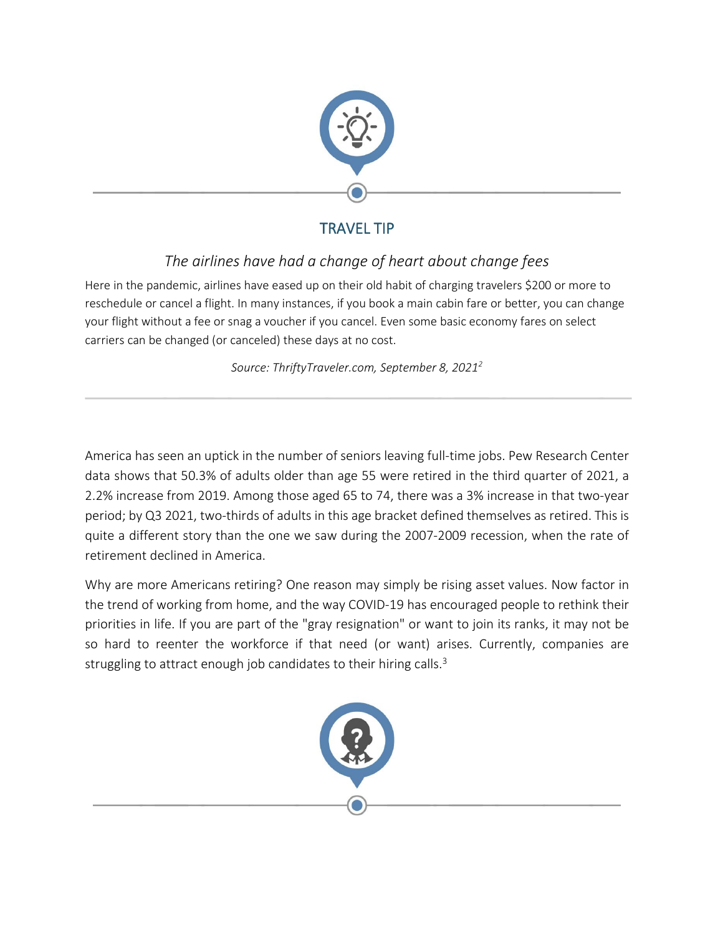

# TRAVEL TIP

# *The airlines have had a change of heart about change fees*

Here in the pandemic, airlines have eased up on their old habit of charging travelers \$200 or more to reschedule or cancel a flight. In many instances, if you book a main cabin fare or better, you can change your flight without a fee or snag a voucher if you cancel. Even some basic economy fares on select carriers can be changed (or canceled) these days at no cost.

*Source: ThriftyTraveler.com, September 8, 20212*

America has seen an uptick in the number of seniors leaving full-time jobs. Pew Research Center data shows that 50.3% of adults older than age 55 were retired in the third quarter of 2021, a 2.2% increase from 2019. Among those aged 65 to 74, there was a 3% increase in that two-year period; by Q3 2021, two-thirds of adults in this age bracket defined themselves as retired. This is quite a different story than the one we saw during the 2007-2009 recession, when the rate of retirement declined in America.

Why are more Americans retiring? One reason may simply be rising asset values. Now factor in the trend of working from home, and the way COVID-19 has encouraged people to rethink their priorities in life. If you are part of the "gray resignation" or want to join its ranks, it may not be so hard to reenter the workforce if that need (or want) arises. Currently, companies are struggling to attract enough job candidates to their hiring calls.<sup>3</sup>